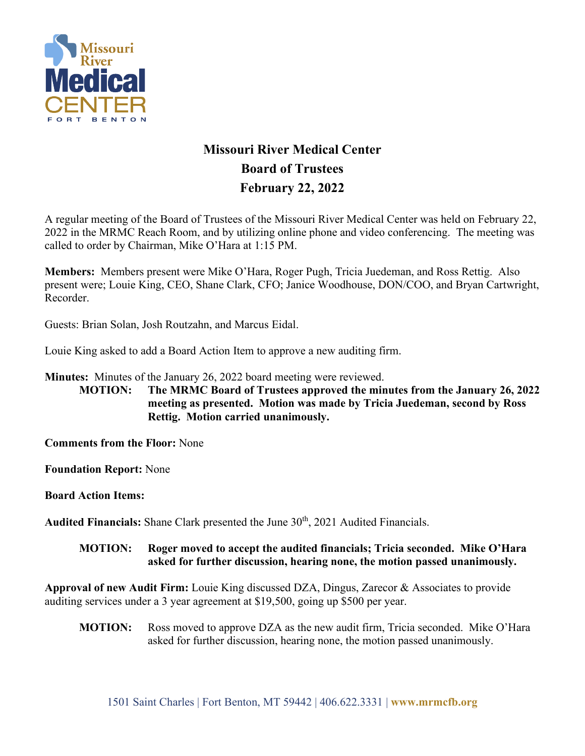

## **Missouri River Medical Center Board of Trustees February 22, 2022**

A regular meeting of the Board of Trustees of the Missouri River Medical Center was held on February 22, 2022 in the MRMC Reach Room, and by utilizing online phone and video conferencing. The meeting was called to order by Chairman, Mike O'Hara at 1:15 PM.

**Members:** Members present were Mike O'Hara, Roger Pugh, Tricia Juedeman, and Ross Rettig. Also present were; Louie King, CEO, Shane Clark, CFO; Janice Woodhouse, DON/COO, and Bryan Cartwright, Recorder.

Guests: Brian Solan, Josh Routzahn, and Marcus Eidal.

Louie King asked to add a Board Action Item to approve a new auditing firm.

**Minutes:** Minutes of the January 26, 2022 board meeting were reviewed.

**MOTION: The MRMC Board of Trustees approved the minutes from the January 26, 2022 meeting as presented. Motion was made by Tricia Juedeman, second by Ross Rettig. Motion carried unanimously.**

**Comments from the Floor:** None

**Foundation Report:** None

**Board Action Items:** 

Audited Financials: Shane Clark presented the June 30<sup>th</sup>, 2021 Audited Financials.

## **MOTION: Roger moved to accept the audited financials; Tricia seconded. Mike O'Hara asked for further discussion, hearing none, the motion passed unanimously.**

**Approval of new Audit Firm:** Louie King discussed DZA, Dingus, Zarecor & Associates to provide auditing services under a 3 year agreement at \$19,500, going up \$500 per year.

**MOTION:** Ross moved to approve DZA as the new audit firm, Tricia seconded. Mike O'Hara asked for further discussion, hearing none, the motion passed unanimously.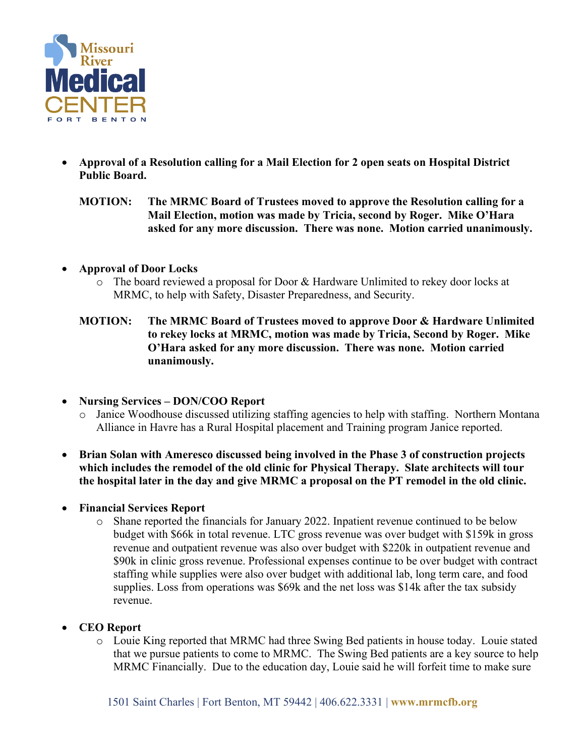

- **Approval of a Resolution calling for a Mail Election for 2 open seats on Hospital District Public Board.**
	- **MOTION: The MRMC Board of Trustees moved to approve the Resolution calling for a Mail Election, motion was made by Tricia, second by Roger. Mike O'Hara asked for any more discussion. There was none. Motion carried unanimously.**
- **Approval of Door Locks**
	- o The board reviewed a proposal for Door & Hardware Unlimited to rekey door locks at MRMC, to help with Safety, Disaster Preparedness, and Security.
	- **MOTION: The MRMC Board of Trustees moved to approve Door & Hardware Unlimited to rekey locks at MRMC, motion was made by Tricia, Second by Roger. Mike O'Hara asked for any more discussion. There was none. Motion carried unanimously.**
- **Nursing Services – DON/COO Report**
	- o Janice Woodhouse discussed utilizing staffing agencies to help with staffing. Northern Montana Alliance in Havre has a Rural Hospital placement and Training program Janice reported.
- **Brian Solan with Ameresco discussed being involved in the Phase 3 of construction projects which includes the remodel of the old clinic for Physical Therapy. Slate architects will tour the hospital later in the day and give MRMC a proposal on the PT remodel in the old clinic.**
- **Financial Services Report**
	- o Shane reported the financials for January 2022. Inpatient revenue continued to be below budget with \$66k in total revenue. LTC gross revenue was over budget with \$159k in gross revenue and outpatient revenue was also over budget with \$220k in outpatient revenue and \$90k in clinic gross revenue. Professional expenses continue to be over budget with contract staffing while supplies were also over budget with additional lab, long term care, and food supplies. Loss from operations was \$69k and the net loss was \$14k after the tax subsidy revenue.
- **CEO Report**
	- o Louie King reported that MRMC had three Swing Bed patients in house today. Louie stated that we pursue patients to come to MRMC. The Swing Bed patients are a key source to help MRMC Financially. Due to the education day, Louie said he will forfeit time to make sure